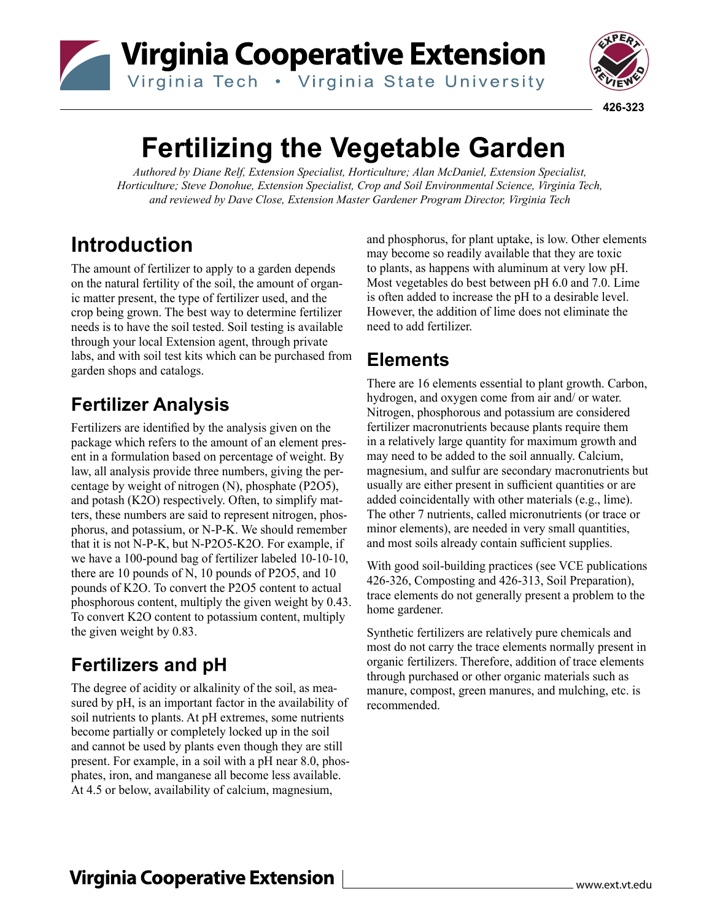# Virginia Cooperative Extension Virginia Tech . Virginia State University



 **426-323**

# **Fertilizing the Vegetable Garden**

*Authored by Diane Relf, Extension Specialist, Horticulture; Alan McDaniel, Extension Specialist, Horticulture; Steve Donohue, Extension Specialist, Crop and Soil Environmental Science, Virginia Tech, and reviewed by Dave Close, Extension Master Gardener Program Director, Virginia Tech*

# **Introduction**

The amount of fertilizer to apply to a garden depends on the natural fertility of the soil, the amount of organic matter present, the type of fertilizer used, and the crop being grown. The best way to determine fertilizer needs is to have the soil tested. Soil testing is available through your local Extension agent, through private labs, and with soil test kits which can be purchased from garden shops and catalogs.

# **Fertilizer Analysis**

Fertilizers are identified by the analysis given on the package which refers to the amount of an element present in a formulation based on percentage of weight. By law, all analysis provide three numbers, giving the percentage by weight of nitrogen (N), phosphate (P2O5), and potash (K2O) respectively. Often, to simplify matters, these numbers are said to represent nitrogen, phosphorus, and potassium, or N-P-K. We should remember that it is not N-P-K, but N-P2O5-K2O. For example, if we have a 100-pound bag of fertilizer labeled 10-10-10, there are 10 pounds of N, 10 pounds of P2O5, and 10 pounds of K2O. To convert the P2O5 content to actual phosphorous content, multiply the given weight by 0.43. To convert K2O content to potassium content, multiply the given weight by 0.83.

# **Fertilizers and pH**

The degree of acidity or alkalinity of the soil, as measured by pH, is an important factor in the availability of soil nutrients to plants. At pH extremes, some nutrients become partially or completely locked up in the soil and cannot be used by plants even though they are still present. For example, in a soil with a pH near 8.0, phosphates, iron, and manganese all become less available. At 4.5 or below, availability of calcium, magnesium,

and phosphorus, for plant uptake, is low. Other elements may become so readily available that they are toxic to plants, as happens with aluminum at very low pH. Most vegetables do best between pH 6.0 and 7.0. Lime is often added to increase the pH to a desirable level. However, the addition of lime does not eliminate the need to add fertilizer.

### **Elements**

There are 16 elements essential to plant growth. Carbon, hydrogen, and oxygen come from air and/ or water. Nitrogen, phosphorous and potassium are considered fertilizer macronutrients because plants require them in a relatively large quantity for maximum growth and may need to be added to the soil annually. Calcium, magnesium, and sulfur are secondary macronutrients but usually are either present in sufficient quantities or are added coincidentally with other materials (e.g., lime). The other 7 nutrients, called micronutrients (or trace or minor elements), are needed in very small quantities, and most soils already contain sufficient supplies.

With good soil-building practices (see VCE publications 426-326, Composting and 426-313, Soil Preparation), trace elements do not generally present a problem to the home gardener.

Synthetic fertilizers are relatively pure chemicals and most do not carry the trace elements normally present in organic fertilizers. Therefore, addition of trace elements through purchased or other organic materials such as manure, compost, green manures, and mulching, etc. is recommended.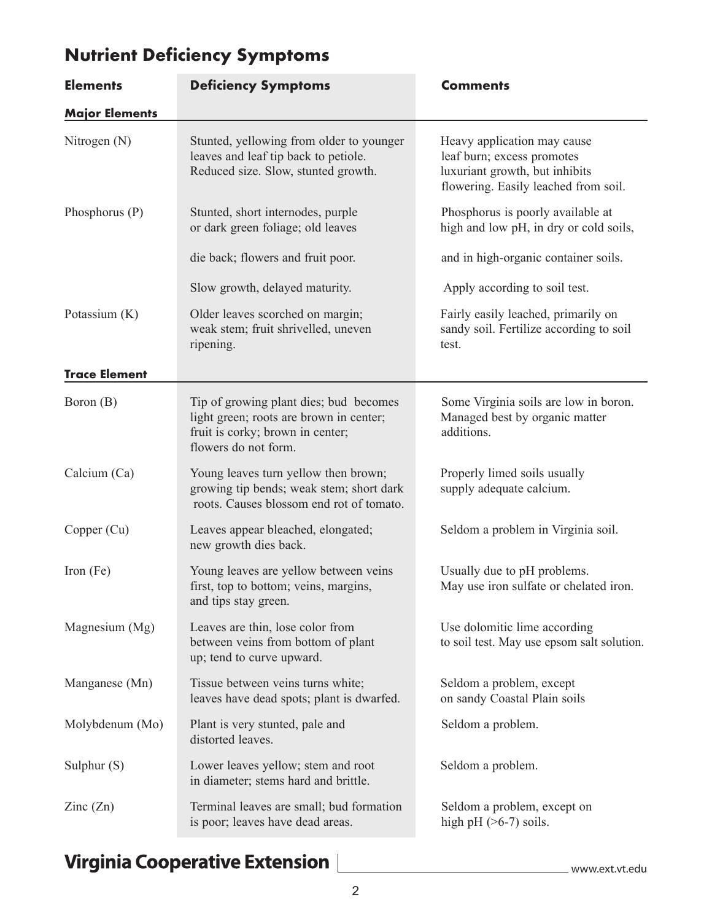| <b>Elements</b>          | <b>Deficiency Symptoms</b>                                                                                                                    | <b>Comments</b>                                                                                                                     |
|--------------------------|-----------------------------------------------------------------------------------------------------------------------------------------------|-------------------------------------------------------------------------------------------------------------------------------------|
| <b>Major Elements</b>    |                                                                                                                                               |                                                                                                                                     |
| Nitrogen (N)             | Stunted, yellowing from older to younger<br>leaves and leaf tip back to petiole.<br>Reduced size. Slow, stunted growth.                       | Heavy application may cause<br>leaf burn; excess promotes<br>luxuriant growth, but inhibits<br>flowering. Easily leached from soil. |
| Phosphorus (P)           | Stunted, short internodes, purple<br>or dark green foliage; old leaves                                                                        | Phosphorus is poorly available at<br>high and low pH, in dry or cold soils,                                                         |
|                          | die back; flowers and fruit poor.                                                                                                             | and in high-organic container soils.                                                                                                |
|                          | Slow growth, delayed maturity.                                                                                                                | Apply according to soil test.                                                                                                       |
| Potassium (K)            | Older leaves scorched on margin;<br>weak stem; fruit shrivelled, uneven<br>ripening.                                                          | Fairly easily leached, primarily on<br>sandy soil. Fertilize according to soil<br>test.                                             |
| <b>Trace Element</b>     |                                                                                                                                               |                                                                                                                                     |
| Boron (B)                | Tip of growing plant dies; bud becomes<br>light green; roots are brown in center;<br>fruit is corky; brown in center;<br>flowers do not form. | Some Virginia soils are low in boron.<br>Managed best by organic matter<br>additions.                                               |
| Calcium (Ca)             | Young leaves turn yellow then brown;<br>growing tip bends; weak stem; short dark<br>roots. Causes blossom end rot of tomato.                  | Properly limed soils usually<br>supply adequate calcium.                                                                            |
| Copper (Cu)              | Leaves appear bleached, elongated;<br>new growth dies back.                                                                                   | Seldom a problem in Virginia soil.                                                                                                  |
| Iron $(Fe)$              | Young leaves are yellow between veins<br>first, top to bottom; veins, margins,<br>and tips stay green.                                        | Usually due to pH problems.<br>May use iron sulfate or chelated iron.                                                               |
| Magnesium (Mg)           | Leaves are thin, lose color from<br>between veins from bottom of plant<br>up; tend to curve upward.                                           | Use dolomitic lime according<br>to soil test. May use epsom salt solution.                                                          |
| Manganese (Mn)           | Tissue between veins turns white;<br>leaves have dead spots; plant is dwarfed.                                                                | Seldom a problem, except<br>on sandy Coastal Plain soils                                                                            |
| Molybdenum (Mo)          | Plant is very stunted, pale and<br>distorted leaves.                                                                                          | Seldom a problem.                                                                                                                   |
| Sulphur $(S)$            | Lower leaves yellow; stem and root<br>in diameter; stems hard and brittle.                                                                    | Seldom a problem.                                                                                                                   |
| $\text{Zinc}(\text{Zn})$ | Terminal leaves are small; bud formation<br>is poor; leaves have dead areas.                                                                  | Seldom a problem, except on<br>high pH $($ >6-7) soils.                                                                             |

# **Nutrient Deficiency Symptoms**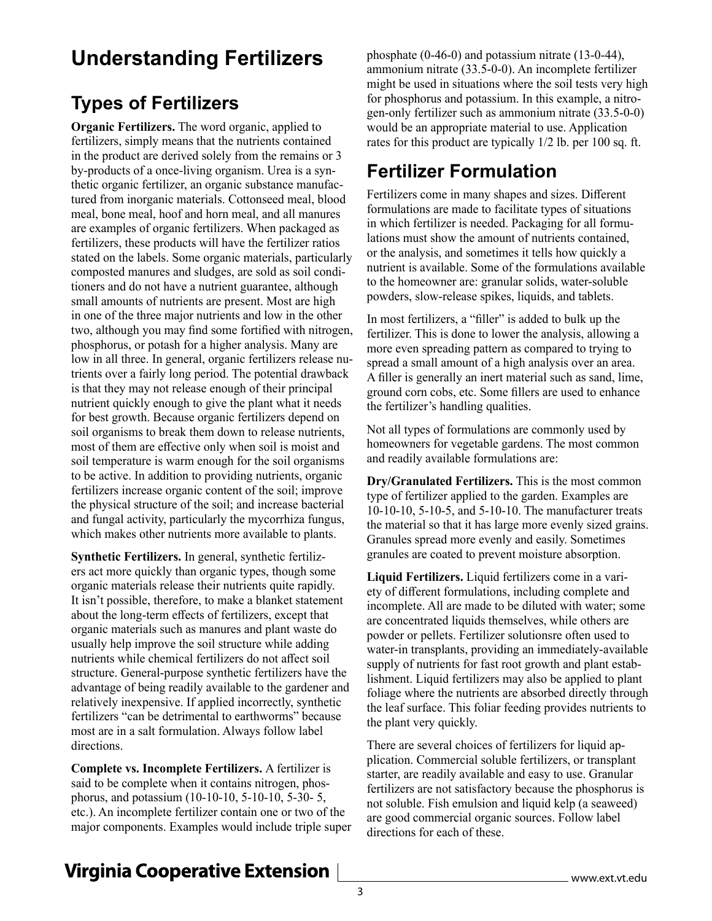# **Understanding Fertilizers**

# **Types of Fertilizers**

**Organic Fertilizers.** The word organic, applied to fertilizers, simply means that the nutrients contained in the product are derived solely from the remains or 3 by-products of a once-living organism. Urea is a synthetic organic fertilizer, an organic substance manufactured from inorganic materials. Cottonseed meal, blood meal, bone meal, hoof and horn meal, and all manures are examples of organic fertilizers. When packaged as fertilizers, these products will have the fertilizer ratios stated on the labels. Some organic materials, particularly composted manures and sludges, are sold as soil conditioners and do not have a nutrient guarantee, although small amounts of nutrients are present. Most are high in one of the three major nutrients and low in the other two, although you may find some fortified with nitrogen, phosphorus, or potash for a higher analysis. Many are low in all three. In general, organic fertilizers release nutrients over a fairly long period. The potential drawback is that they may not release enough of their principal nutrient quickly enough to give the plant what it needs for best growth. Because organic fertilizers depend on soil organisms to break them down to release nutrients, most of them are effective only when soil is moist and soil temperature is warm enough for the soil organisms to be active. In addition to providing nutrients, organic fertilizers increase organic content of the soil; improve the physical structure of the soil; and increase bacterial and fungal activity, particularly the mycorrhiza fungus, which makes other nutrients more available to plants.

**Synthetic Fertilizers.** In general, synthetic fertilizers act more quickly than organic types, though some organic materials release their nutrients quite rapidly. It isn't possible, therefore, to make a blanket statement about the long-term effects of fertilizers, except that organic materials such as manures and plant waste do usually help improve the soil structure while adding nutrients while chemical fertilizers do not affect soil structure. General-purpose synthetic fertilizers have the advantage of being readily available to the gardener and relatively inexpensive. If applied incorrectly, synthetic fertilizers "can be detrimental to earthworms" because most are in a salt formulation. Always follow label directions.

**Complete vs. Incomplete Fertilizers.** A fertilizer is said to be complete when it contains nitrogen, phosphorus, and potassium (10-10-10, 5-10-10, 5-30- 5, etc.). An incomplete fertilizer contain one or two of the major components. Examples would include triple super

phosphate (0-46-0) and potassium nitrate (13-0-44), ammonium nitrate (33.5-0-0). An incomplete fertilizer might be used in situations where the soil tests very high for phosphorus and potassium. In this example, a nitrogen-only fertilizer such as ammonium nitrate (33.5-0-0) would be an appropriate material to use. Application rates for this product are typically 1/2 lb. per 100 sq. ft.

# **Fertilizer Formulation**

Fertilizers come in many shapes and sizes. Different formulations are made to facilitate types of situations in which fertilizer is needed. Packaging for all formulations must show the amount of nutrients contained, or the analysis, and sometimes it tells how quickly a nutrient is available. Some of the formulations available to the homeowner are: granular solids, water-soluble powders, slow-release spikes, liquids, and tablets.

In most fertilizers, a "filler" is added to bulk up the fertilizer. This is done to lower the analysis, allowing a more even spreading pattern as compared to trying to spread a small amount of a high analysis over an area. A filler is generally an inert material such as sand, lime, ground corn cobs, etc. Some fillers are used to enhance the fertilizer's handling qualities.

Not all types of formulations are commonly used by homeowners for vegetable gardens. The most common and readily available formulations are:

**Dry/Granulated Fertilizers.** This is the most common type of fertilizer applied to the garden. Examples are 10-10-10, 5-10-5, and 5-10-10. The manufacturer treats the material so that it has large more evenly sized grains. Granules spread more evenly and easily. Sometimes granules are coated to prevent moisture absorption.

**Liquid Fertilizers.** Liquid fertilizers come in a variety of different formulations, including complete and incomplete. All are made to be diluted with water; some are concentrated liquids themselves, while others are powder or pellets. Fertilizer solutionsre often used to water-in transplants, providing an immediately-available supply of nutrients for fast root growth and plant establishment. Liquid fertilizers may also be applied to plant foliage where the nutrients are absorbed directly through the leaf surface. This foliar feeding provides nutrients to the plant very quickly.

There are several choices of fertilizers for liquid application. Commercial soluble fertilizers, or transplant starter, are readily available and easy to use. Granular fertilizers are not satisfactory because the phosphorus is not soluble. Fish emulsion and liquid kelp (a seaweed) are good commercial organic sources. Follow label directions for each of these.

# **Virginia Cooperative Extension**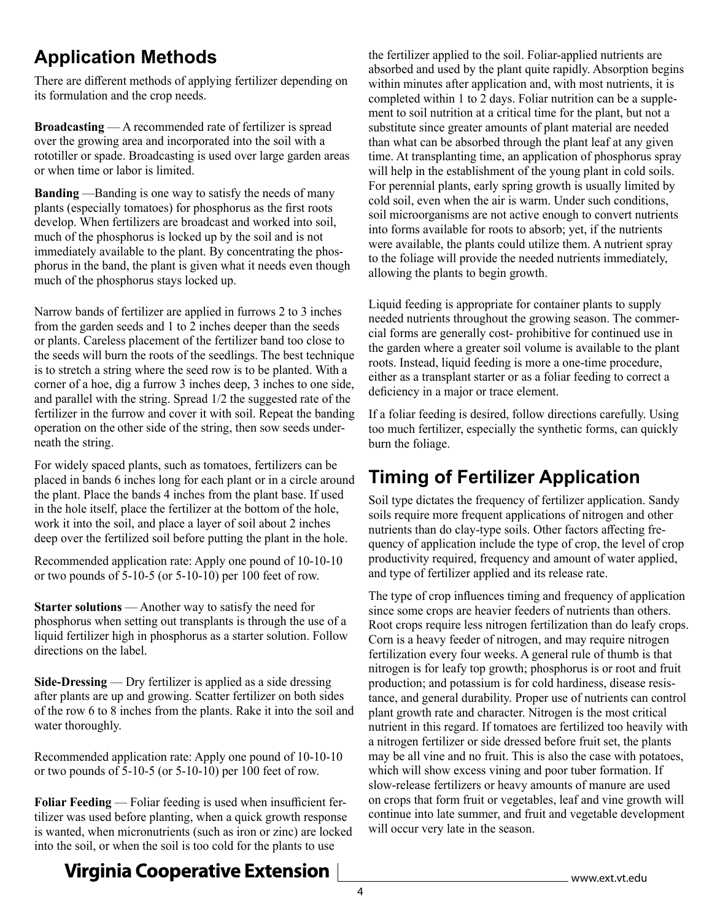# **Application Methods**

There are different methods of applying fertilizer depending on its formulation and the crop needs.

**Broadcasting** — A recommended rate of fertilizer is spread over the growing area and incorporated into the soil with a rototiller or spade. Broadcasting is used over large garden areas or when time or labor is limited.

**Banding** —Banding is one way to satisfy the needs of many plants (especially tomatoes) for phosphorus as the first roots develop. When fertilizers are broadcast and worked into soil, much of the phosphorus is locked up by the soil and is not immediately available to the plant. By concentrating the phosphorus in the band, the plant is given what it needs even though much of the phosphorus stays locked up.

Narrow bands of fertilizer are applied in furrows 2 to 3 inches from the garden seeds and 1 to 2 inches deeper than the seeds or plants. Careless placement of the fertilizer band too close to the seeds will burn the roots of the seedlings. The best technique is to stretch a string where the seed row is to be planted. With a corner of a hoe, dig a furrow 3 inches deep, 3 inches to one side, and parallel with the string. Spread 1/2 the suggested rate of the fertilizer in the furrow and cover it with soil. Repeat the banding operation on the other side of the string, then sow seeds underneath the string.

For widely spaced plants, such as tomatoes, fertilizers can be placed in bands 6 inches long for each plant or in a circle around the plant. Place the bands 4 inches from the plant base. If used in the hole itself, place the fertilizer at the bottom of the hole, work it into the soil, and place a layer of soil about 2 inches deep over the fertilized soil before putting the plant in the hole.

Recommended application rate: Apply one pound of 10-10-10 or two pounds of 5-10-5 (or 5-10-10) per 100 feet of row.

**Starter solutions** — Another way to satisfy the need for phosphorus when setting out transplants is through the use of a liquid fertilizer high in phosphorus as a starter solution. Follow directions on the label.

**Side-Dressing** — Dry fertilizer is applied as a side dressing after plants are up and growing. Scatter fertilizer on both sides of the row 6 to 8 inches from the plants. Rake it into the soil and water thoroughly.

Recommended application rate: Apply one pound of 10-10-10 or two pounds of 5-10-5 (or 5-10-10) per 100 feet of row.

**Foliar Feeding** — Foliar feeding is used when insufficient fertilizer was used before planting, when a quick growth response is wanted, when micronutrients (such as iron or zinc) are locked into the soil, or when the soil is too cold for the plants to use

the fertilizer applied to the soil. Foliar-applied nutrients are absorbed and used by the plant quite rapidly. Absorption begins within minutes after application and, with most nutrients, it is completed within 1 to 2 days. Foliar nutrition can be a supplement to soil nutrition at a critical time for the plant, but not a substitute since greater amounts of plant material are needed than what can be absorbed through the plant leaf at any given time. At transplanting time, an application of phosphorus spray will help in the establishment of the young plant in cold soils. For perennial plants, early spring growth is usually limited by cold soil, even when the air is warm. Under such conditions, soil microorganisms are not active enough to convert nutrients into forms available for roots to absorb; yet, if the nutrients were available, the plants could utilize them. A nutrient spray to the foliage will provide the needed nutrients immediately, allowing the plants to begin growth.

Liquid feeding is appropriate for container plants to supply needed nutrients throughout the growing season. The commercial forms are generally cost- prohibitive for continued use in the garden where a greater soil volume is available to the plant roots. Instead, liquid feeding is more a one-time procedure, either as a transplant starter or as a foliar feeding to correct a deficiency in a major or trace element.

If a foliar feeding is desired, follow directions carefully. Using too much fertilizer, especially the synthetic forms, can quickly burn the foliage.

# **Timing of Fertilizer Application**

Soil type dictates the frequency of fertilizer application. Sandy soils require more frequent applications of nitrogen and other nutrients than do clay-type soils. Other factors affecting frequency of application include the type of crop, the level of crop productivity required, frequency and amount of water applied, and type of fertilizer applied and its release rate.

The type of crop influences timing and frequency of application since some crops are heavier feeders of nutrients than others. Root crops require less nitrogen fertilization than do leafy crops. Corn is a heavy feeder of nitrogen, and may require nitrogen fertilization every four weeks. A general rule of thumb is that nitrogen is for leafy top growth; phosphorus is or root and fruit production; and potassium is for cold hardiness, disease resistance, and general durability. Proper use of nutrients can control plant growth rate and character. Nitrogen is the most critical nutrient in this regard. If tomatoes are fertilized too heavily with a nitrogen fertilizer or side dressed before fruit set, the plants may be all vine and no fruit. This is also the case with potatoes, which will show excess vining and poor tuber formation. If slow-release fertilizers or heavy amounts of manure are used on crops that form fruit or vegetables, leaf and vine growth will continue into late summer, and fruit and vegetable development will occur very late in the season.

# **Virginia Cooperative Extension**